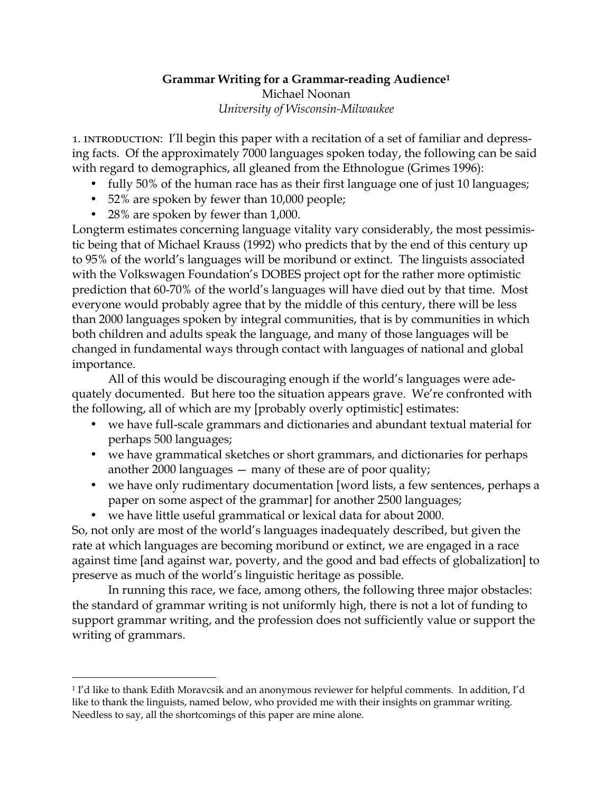## **Grammar Writing for a Grammar-reading Audience[1](#page-0-0)** Michael Noonan *University of Wisconsin-Milwaukee*

1. INTRODUCTION: I'll begin this paper with a recitation of a set of familiar and depressing facts. Of the approximately 7000 languages spoken today, the following can be said with regard to demographics, all gleaned from the Ethnologue (Grimes 1996):

- fully 50% of the human race has as their first language one of just 10 languages;
- 52% are spoken by fewer than 10,000 people;
- 28% are spoken by fewer than 1,000.

 $\overline{a}$ 

Longterm estimates concerning language vitality vary considerably, the most pessimistic being that of Michael Krauss (1992) who predicts that by the end of this century up to 95% of the world's languages will be moribund or extinct. The linguists associated with the Volkswagen Foundation's DOBES project opt for the rather more optimistic prediction that 60-70% of the world's languages will have died out by that time. Most everyone would probably agree that by the middle of this century, there will be less than 2000 languages spoken by integral communities, that is by communities in which both children and adults speak the language, and many of those languages will be changed in fundamental ways through contact with languages of national and global importance.

 All of this would be discouraging enough if the world's languages were adequately documented. But here too the situation appears grave. We're confronted with the following, all of which are my [probably overly optimistic] estimates:

- we have full-scale grammars and dictionaries and abundant textual material for perhaps 500 languages;
- we have grammatical sketches or short grammars, and dictionaries for perhaps another 2000 languages — many of these are of poor quality;
- we have only rudimentary documentation [word lists, a few sentences, perhaps a paper on some aspect of the grammar] for another 2500 languages;
- we have little useful grammatical or lexical data for about 2000.

So, not only are most of the world's languages inadequately described, but given the rate at which languages are becoming moribund or extinct, we are engaged in a race against time [and against war, poverty, and the good and bad effects of globalization] to preserve as much of the world's linguistic heritage as possible.

 In running this race, we face, among others, the following three major obstacles: the standard of grammar writing is not uniformly high, there is not a lot of funding to support grammar writing, and the profession does not sufficiently value or support the writing of grammars.

<span id="page-0-0"></span><sup>1</sup> I'd like to thank Edith Moravcsik and an anonymous reviewer for helpful comments. In addition, I'd like to thank the linguists, named below, who provided me with their insights on grammar writing. Needless to say, all the shortcomings of this paper are mine alone.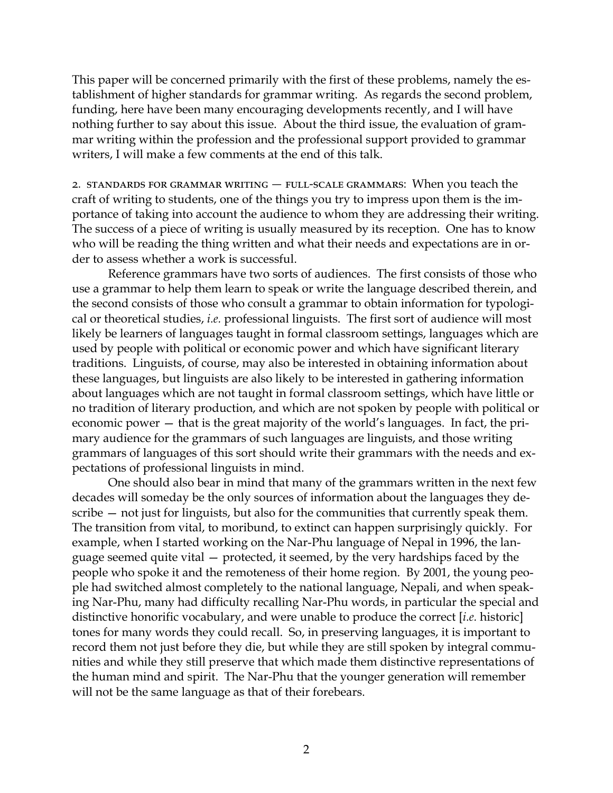This paper will be concerned primarily with the first of these problems, namely the establishment of higher standards for grammar writing. As regards the second problem, funding, here have been many encouraging developments recently, and I will have nothing further to say about this issue. About the third issue, the evaluation of grammar writing within the profession and the professional support provided to grammar writers, I will make a few comments at the end of this talk.

2. standards for grammar writing — full-scale grammars: When you teach the craft of writing to students, one of the things you try to impress upon them is the importance of taking into account the audience to whom they are addressing their writing. The success of a piece of writing is usually measured by its reception. One has to know who will be reading the thing written and what their needs and expectations are in order to assess whether a work is successful.

Reference grammars have two sorts of audiences. The first consists of those who use a grammar to help them learn to speak or write the language described therein, and the second consists of those who consult a grammar to obtain information for typological or theoretical studies, *i.e.* professional linguists. The first sort of audience will most likely be learners of languages taught in formal classroom settings, languages which are used by people with political or economic power and which have significant literary traditions. Linguists, of course, may also be interested in obtaining information about these languages, but linguists are also likely to be interested in gathering information about languages which are not taught in formal classroom settings, which have little or no tradition of literary production, and which are not spoken by people with political or economic power — that is the great majority of the world's languages. In fact, the primary audience for the grammars of such languages are linguists, and those writing grammars of languages of this sort should write their grammars with the needs and expectations of professional linguists in mind.

One should also bear in mind that many of the grammars written in the next few decades will someday be the only sources of information about the languages they describe — not just for linguists, but also for the communities that currently speak them. The transition from vital, to moribund, to extinct can happen surprisingly quickly. For example, when I started working on the Nar-Phu language of Nepal in 1996, the language seemed quite vital — protected, it seemed, by the very hardships faced by the people who spoke it and the remoteness of their home region. By 2001, the young people had switched almost completely to the national language, Nepali, and when speaking Nar-Phu, many had difficulty recalling Nar-Phu words, in particular the special and distinctive honorific vocabulary, and were unable to produce the correct [*i.e.* historic] tones for many words they could recall. So, in preserving languages, it is important to record them not just before they die, but while they are still spoken by integral communities and while they still preserve that which made them distinctive representations of the human mind and spirit. The Nar-Phu that the younger generation will remember will not be the same language as that of their forebears.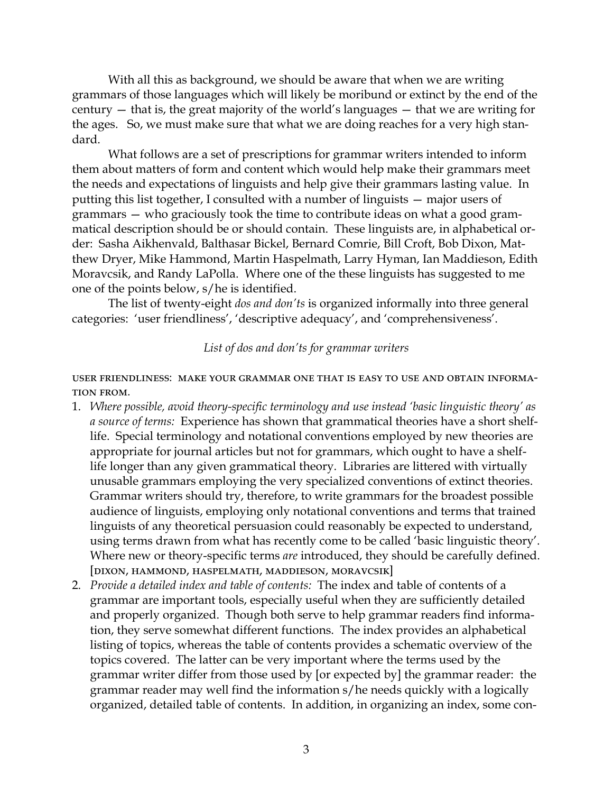With all this as background, we should be aware that when we are writing grammars of those languages which will likely be moribund or extinct by the end of the century — that is, the great majority of the world's languages — that we are writing for the ages. So, we must make sure that what we are doing reaches for a very high standard.

What follows are a set of prescriptions for grammar writers intended to inform them about matters of form and content which would help make their grammars meet the needs and expectations of linguists and help give their grammars lasting value. In putting this list together, I consulted with a number of linguists — major users of grammars — who graciously took the time to contribute ideas on what a good grammatical description should be or should contain. These linguists are, in alphabetical order: Sasha Aikhenvald, Balthasar Bickel, Bernard Comrie, Bill Croft, Bob Dixon, Matthew Dryer, Mike Hammond, Martin Haspelmath, Larry Hyman, Ian Maddieson, Edith Moravcsik, and Randy LaPolla. Where one of the these linguists has suggested to me one of the points below, s/he is identified.

The list of twenty-eight *dos and don'ts* is organized informally into three general categories: 'user friendliness', 'descriptive adequacy', and 'comprehensiveness'.

*List of dos and don'ts for grammar writers*

user friendliness: make your grammar one that is easy to use and obtain information from.

- 1. *Where possible, avoid theory-specific terminology and use instead 'basic linguistic theory' as a source of terms:* Experience has shown that grammatical theories have a short shelflife. Special terminology and notational conventions employed by new theories are appropriate for journal articles but not for grammars, which ought to have a shelflife longer than any given grammatical theory. Libraries are littered with virtually unusable grammars employing the very specialized conventions of extinct theories. Grammar writers should try, therefore, to write grammars for the broadest possible audience of linguists, employing only notational conventions and terms that trained linguists of any theoretical persuasion could reasonably be expected to understand, using terms drawn from what has recently come to be called 'basic linguistic theory'. Where new or theory-specific terms *are* introduced, they should be carefully defined. [dixon, hammond, haspelmath, maddieson, moravcsik]
- 2. *Provide a detailed index and table of contents:* The index and table of contents of a grammar are important tools, especially useful when they are sufficiently detailed and properly organized. Though both serve to help grammar readers find information, they serve somewhat different functions. The index provides an alphabetical listing of topics, whereas the table of contents provides a schematic overview of the topics covered. The latter can be very important where the terms used by the grammar writer differ from those used by [or expected by] the grammar reader: the grammar reader may well find the information s/he needs quickly with a logically organized, detailed table of contents. In addition, in organizing an index, some con-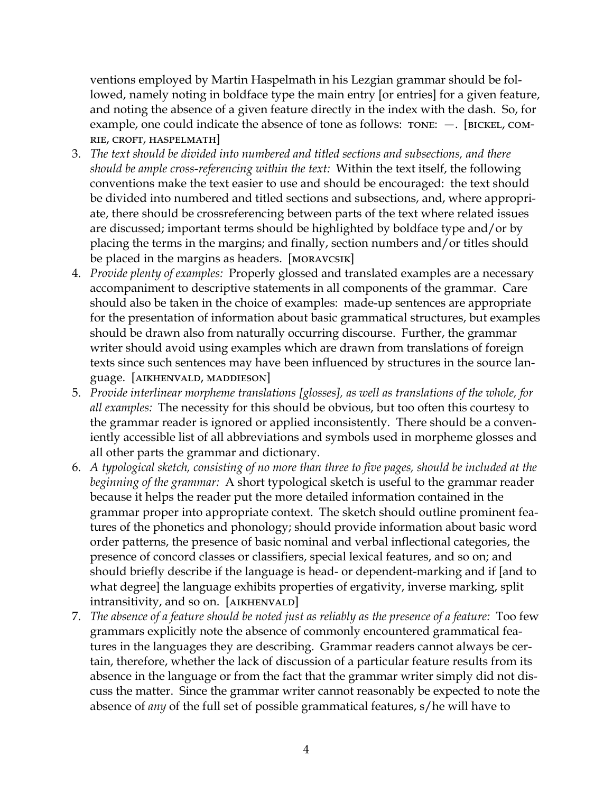ventions employed by Martin Haspelmath in his Lezgian grammar should be followed, namely noting in boldface type the main entry [or entries] for a given feature, and noting the absence of a given feature directly in the index with the dash. So, for example, one could indicate the absence of tone as follows:  $T$ ONE:  $-$ . [BICKEL, COMrie, croft, haspelmath]

- 3. *The text should be divided into numbered and titled sections and subsections, and there should be ample cross-referencing within the text:* Within the text itself, the following conventions make the text easier to use and should be encouraged: the text should be divided into numbered and titled sections and subsections, and, where appropriate, there should be crossreferencing between parts of the text where related issues are discussed; important terms should be highlighted by boldface type and/or by placing the terms in the margins; and finally, section numbers and/or titles should be placed in the margins as headers. [MORAVCSIK]
- 4. *Provide plenty of examples:* Properly glossed and translated examples are a necessary accompaniment to descriptive statements in all components of the grammar. Care should also be taken in the choice of examples: made-up sentences are appropriate for the presentation of information about basic grammatical structures, but examples should be drawn also from naturally occurring discourse. Further, the grammar writer should avoid using examples which are drawn from translations of foreign texts since such sentences may have been influenced by structures in the source language. [aikhenvald, maddieson]
- 5. *Provide interlinear morpheme translations [glosses], as well as translations of the whole, for all examples:* The necessity for this should be obvious, but too often this courtesy to the grammar reader is ignored or applied inconsistently. There should be a conveniently accessible list of all abbreviations and symbols used in morpheme glosses and all other parts the grammar and dictionary.
- 6. *A typological sketch, consisting of no more than three to five pages, should be included at the beginning of the grammar:* A short typological sketch is useful to the grammar reader because it helps the reader put the more detailed information contained in the grammar proper into appropriate context. The sketch should outline prominent features of the phonetics and phonology; should provide information about basic word order patterns, the presence of basic nominal and verbal inflectional categories, the presence of concord classes or classifiers, special lexical features, and so on; and should briefly describe if the language is head- or dependent-marking and if [and to what degree] the language exhibits properties of ergativity, inverse marking, split intransitivity, and so on. [AIKHENVALD]
- 7. *The absence of a feature should be noted just as reliably as the presence of a feature:* Too few grammars explicitly note the absence of commonly encountered grammatical features in the languages they are describing. Grammar readers cannot always be certain, therefore, whether the lack of discussion of a particular feature results from its absence in the language or from the fact that the grammar writer simply did not discuss the matter. Since the grammar writer cannot reasonably be expected to note the absence of *any* of the full set of possible grammatical features, s/he will have to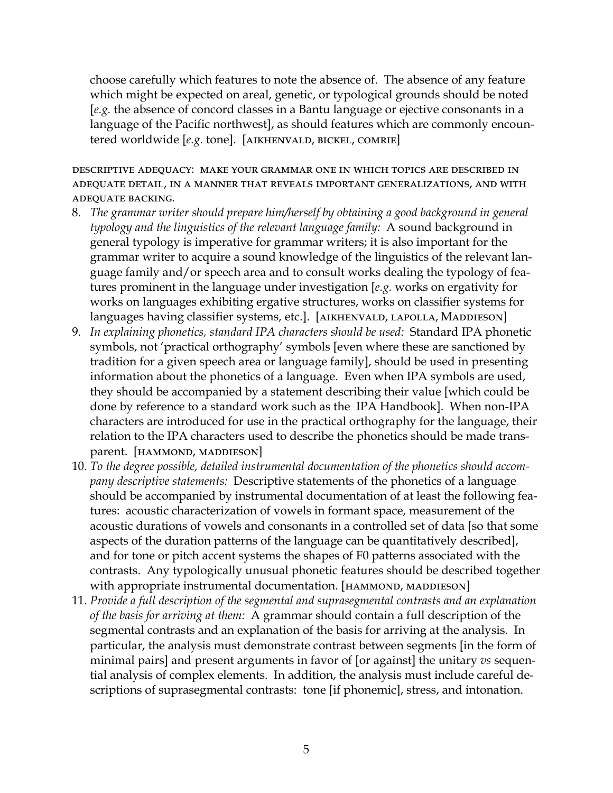choose carefully which features to note the absence of. The absence of any feature which might be expected on areal, genetic, or typological grounds should be noted [*e.g.* the absence of concord classes in a Bantu language or ejective consonants in a language of the Pacific northwest], as should features which are commonly encountered worldwide [e.g. tone]. [AIKHENVALD, BICKEL, COMRIE]

descriptive adequacy: make your grammar one in which topics are described in adequate detail, in a manner that reveals important generalizations, and with adequate backing.

- 8. *The grammar writer should prepare him/herself by obtaining a good background in general typology and the linguistics of the relevant language family:* A sound background in general typology is imperative for grammar writers; it is also important for the grammar writer to acquire a sound knowledge of the linguistics of the relevant language family and/or speech area and to consult works dealing the typology of features prominent in the language under investigation [*e.g.* works on ergativity for works on languages exhibiting ergative structures, works on classifier systems for languages having classifier systems, etc.]. [AIKHENVALD, LAPOLLA, MADDIESON]
- 9. *In explaining phonetics, standard IPA characters should be used:* Standard IPA phonetic symbols, not 'practical orthography' symbols [even where these are sanctioned by tradition for a given speech area or language family], should be used in presenting information about the phonetics of a language. Even when IPA symbols are used, they should be accompanied by a statement describing their value [which could be done by reference to a standard work such as the IPA Handbook]. When non-IPA characters are introduced for use in the practical orthography for the language, their relation to the IPA characters used to describe the phonetics should be made transparent. [HAMMOND, MADDIESON]
- 10. *To the degree possible, detailed instrumental documentation of the phonetics should accompany descriptive statements:* Descriptive statements of the phonetics of a language should be accompanied by instrumental documentation of at least the following features: acoustic characterization of vowels in formant space, measurement of the acoustic durations of vowels and consonants in a controlled set of data [so that some aspects of the duration patterns of the language can be quantitatively described], and for tone or pitch accent systems the shapes of F0 patterns associated with the contrasts. Any typologically unusual phonetic features should be described together with appropriate instrumental documentation. [HAMMOND, MADDIESON]
- 11. *Provide a full description of the segmental and suprasegmental contrasts and an explanation of the basis for arriving at them:* A grammar should contain a full description of the segmental contrasts and an explanation of the basis for arriving at the analysis. In particular, the analysis must demonstrate contrast between segments [in the form of minimal pairs] and present arguments in favor of [or against] the unitary *vs* sequential analysis of complex elements. In addition, the analysis must include careful descriptions of suprasegmental contrasts: tone [if phonemic], stress, and intonation.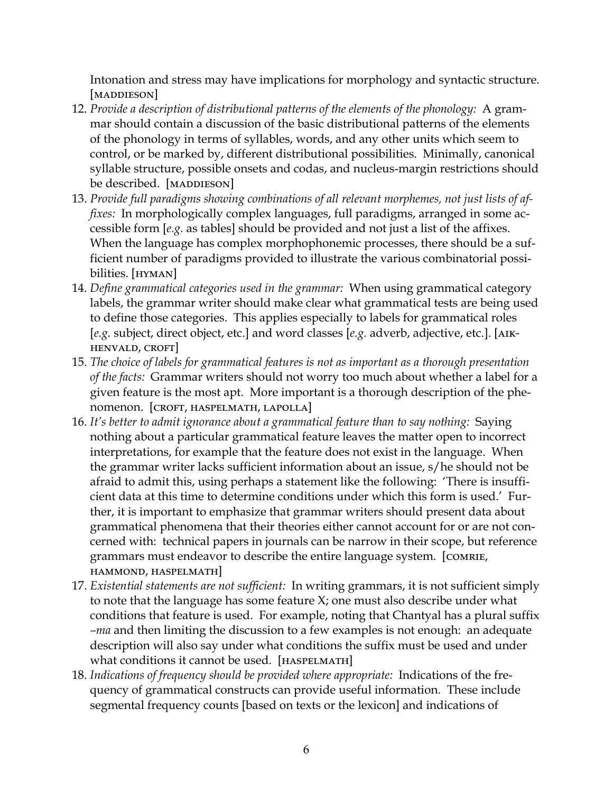Intonation and stress may have implications for morphology and syntactic structure. [MADDIESON]

- 12. *Provide a description of distributional patterns of the elements of the phonology:* A grammar should contain a discussion of the basic distributional patterns of the elements of the phonology in terms of syllables, words, and any other units which seem to control, or be marked by, different distributional possibilities. Minimally, canonical syllable structure, possible onsets and codas, and nucleus-margin restrictions should be described. [MADDIESON]
- 13. *Provide full paradigms showing combinations of all relevant morphemes, not just lists of affixes:* In morphologically complex languages, full paradigms, arranged in some accessible form [*e.g.* as tables] should be provided and not just a list of the affixes. When the language has complex morphophonemic processes, there should be a sufficient number of paradigms provided to illustrate the various combinatorial possibilities. [hyman]
- 14. *Define grammatical categories used in the grammar:* When using grammatical category labels, the grammar writer should make clear what grammatical tests are being used to define those categories. This applies especially to labels for grammatical roles [*e.g.* subject, direct object, etc.] and word classes [*e.g.* adverb, adjective, etc.]. [aikhenvald, croft]
- 15. *The choice of labels for grammatical features is not as important as a thorough presentation of the facts:* Grammar writers should not worry too much about whether a label for a given feature is the most apt. More important is a thorough description of the phenomenon. [croft, haspelmath, lapolla]
- 16. *It's better to admit ignorance about a grammatical feature than to say nothing:* Saying nothing about a particular grammatical feature leaves the matter open to incorrect interpretations, for example that the feature does not exist in the language. When the grammar writer lacks sufficient information about an issue, s/he should not be afraid to admit this, using perhaps a statement like the following: 'There is insufficient data at this time to determine conditions under which this form is used.' Further, it is important to emphasize that grammar writers should present data about grammatical phenomena that their theories either cannot account for or are not concerned with: technical papers in journals can be narrow in their scope, but reference grammars must endeavor to describe the entire language system. [comrie, hammond, haspelmath]
- 17. *Existential statements are not sufficient:* In writing grammars, it is not sufficient simply to note that the language has some feature X; one must also describe under what conditions that feature is used. For example, noting that Chantyal has a plural suffix *–ma* and then limiting the discussion to a few examples is not enough: an adequate description will also say under what conditions the suffix must be used and under what conditions it cannot be used. [HASPELMATH]
- 18. *Indications of frequency should be provided where appropriate:* Indications of the frequency of grammatical constructs can provide useful information. These include segmental frequency counts [based on texts or the lexicon] and indications of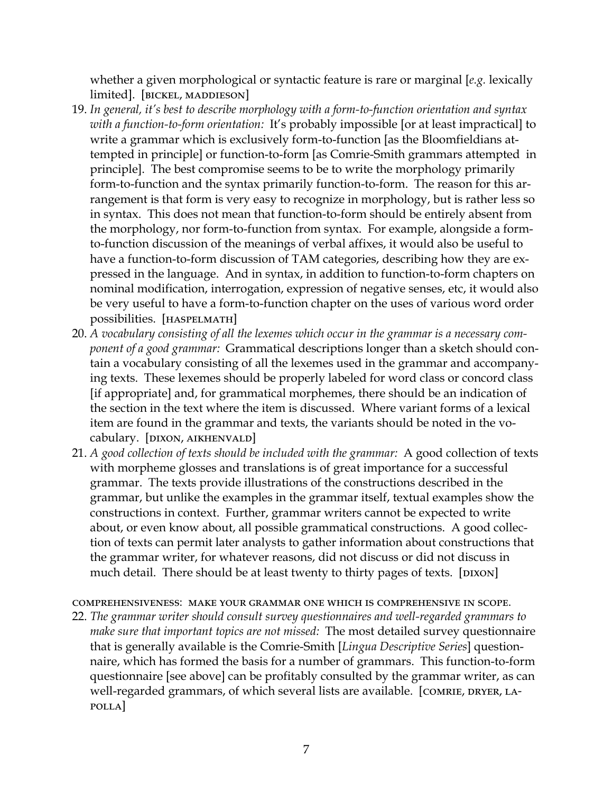whether a given morphological or syntactic feature is rare or marginal [*e.g.* lexically limited]. [BICKEL, MADDIESON]

- 19. *In general, it's best to describe morphology with a form-to-function orientation and syntax with a function-to-form orientation:* It's probably impossible [or at least impractical] to write a grammar which is exclusively form-to-function [as the Bloomfieldians attempted in principle] or function-to-form [as Comrie-Smith grammars attempted in principle]. The best compromise seems to be to write the morphology primarily form-to-function and the syntax primarily function-to-form. The reason for this arrangement is that form is very easy to recognize in morphology, but is rather less so in syntax. This does not mean that function-to-form should be entirely absent from the morphology, nor form-to-function from syntax. For example, alongside a formto-function discussion of the meanings of verbal affixes, it would also be useful to have a function-to-form discussion of TAM categories, describing how they are expressed in the language. And in syntax, in addition to function-to-form chapters on nominal modification, interrogation, expression of negative senses, etc, it would also be very useful to have a form-to-function chapter on the uses of various word order possibilities. [haspelmath]
- 20. *A vocabulary consisting of all the lexemes which occur in the grammar is a necessary component of a good grammar:* Grammatical descriptions longer than a sketch should contain a vocabulary consisting of all the lexemes used in the grammar and accompanying texts. These lexemes should be properly labeled for word class or concord class [if appropriate] and, for grammatical morphemes, there should be an indication of the section in the text where the item is discussed. Where variant forms of a lexical item are found in the grammar and texts, the variants should be noted in the vocabulary. [DIXON, AIKHENVALD]
- 21. *A good collection of texts should be included with the grammar:* A good collection of texts with morpheme glosses and translations is of great importance for a successful grammar. The texts provide illustrations of the constructions described in the grammar, but unlike the examples in the grammar itself, textual examples show the constructions in context. Further, grammar writers cannot be expected to write about, or even know about, all possible grammatical constructions. A good collection of texts can permit later analysts to gather information about constructions that the grammar writer, for whatever reasons, did not discuss or did not discuss in much detail. There should be at least twenty to thirty pages of texts. [DIXON]

## comprehensiveness: make your grammar one which is comprehensive in scope.

22. *The grammar writer should consult survey questionnaires and well-regarded grammars to make sure that important topics are not missed:* The most detailed survey questionnaire that is generally available is the Comrie-Smith [*Lingua Descriptive Series*] questionnaire, which has formed the basis for a number of grammars. This function-to-form questionnaire [see above] can be profitably consulted by the grammar writer, as can well-regarded grammars, of which several lists are available. [COMRIE, DRYER, LApolla]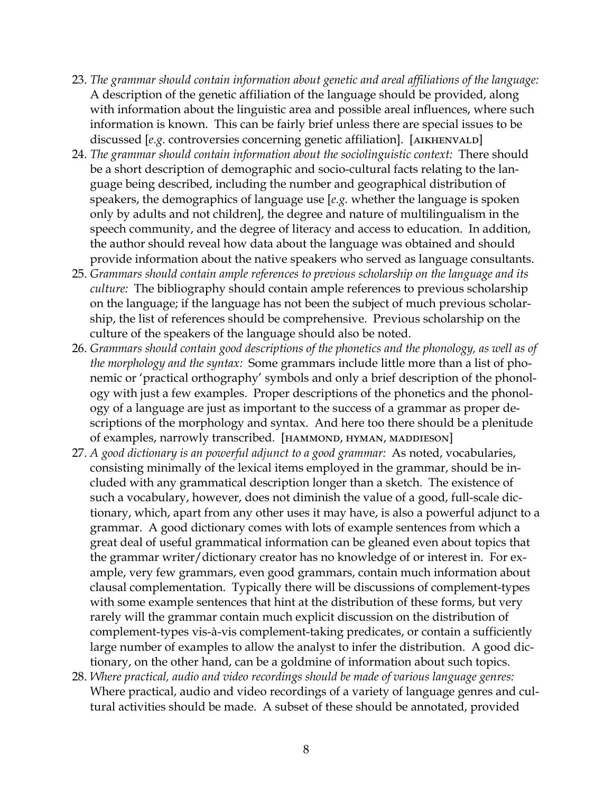- 23. *The grammar should contain information about genetic and areal affiliations of the language:* A description of the genetic affiliation of the language should be provided, along with information about the linguistic area and possible areal influences, where such information is known. This can be fairly brief unless there are special issues to be discussed [e.g. controversies concerning genetic affiliation]. [AIKHENVALD]
- 24. *The grammar should contain information about the sociolinguistic context:* There should be a short description of demographic and socio-cultural facts relating to the language being described, including the number and geographical distribution of speakers, the demographics of language use [*e.g.* whether the language is spoken only by adults and not children], the degree and nature of multilingualism in the speech community, and the degree of literacy and access to education. In addition, the author should reveal how data about the language was obtained and should provide information about the native speakers who served as language consultants.
- 25. *Grammars should contain ample references to previous scholarship on the language and its culture:* The bibliography should contain ample references to previous scholarship on the language; if the language has not been the subject of much previous scholarship, the list of references should be comprehensive. Previous scholarship on the culture of the speakers of the language should also be noted.
- 26. *Grammars should contain good descriptions of the phonetics and the phonology, as well as of the morphology and the syntax:* Some grammars include little more than a list of phonemic or 'practical orthography' symbols and only a brief description of the phonology with just a few examples. Proper descriptions of the phonetics and the phonology of a language are just as important to the success of a grammar as proper descriptions of the morphology and syntax. And here too there should be a plenitude of examples, narrowly transcribed. [HAMMOND, HYMAN, MADDIESON]
- 27. *A good dictionary is an powerful adjunct to a good grammar:* As noted, vocabularies, consisting minimally of the lexical items employed in the grammar, should be included with any grammatical description longer than a sketch. The existence of such a vocabulary, however, does not diminish the value of a good, full-scale dictionary, which, apart from any other uses it may have, is also a powerful adjunct to a grammar. A good dictionary comes with lots of example sentences from which a great deal of useful grammatical information can be gleaned even about topics that the grammar writer/dictionary creator has no knowledge of or interest in. For example, very few grammars, even good grammars, contain much information about clausal complementation. Typically there will be discussions of complement-types with some example sentences that hint at the distribution of these forms, but very rarely will the grammar contain much explicit discussion on the distribution of complement-types vis-à-vis complement-taking predicates, or contain a sufficiently large number of examples to allow the analyst to infer the distribution. A good dictionary, on the other hand, can be a goldmine of information about such topics.
- 28. *Where practical, audio and video recordings should be made of various language genres:* Where practical, audio and video recordings of a variety of language genres and cultural activities should be made. A subset of these should be annotated, provided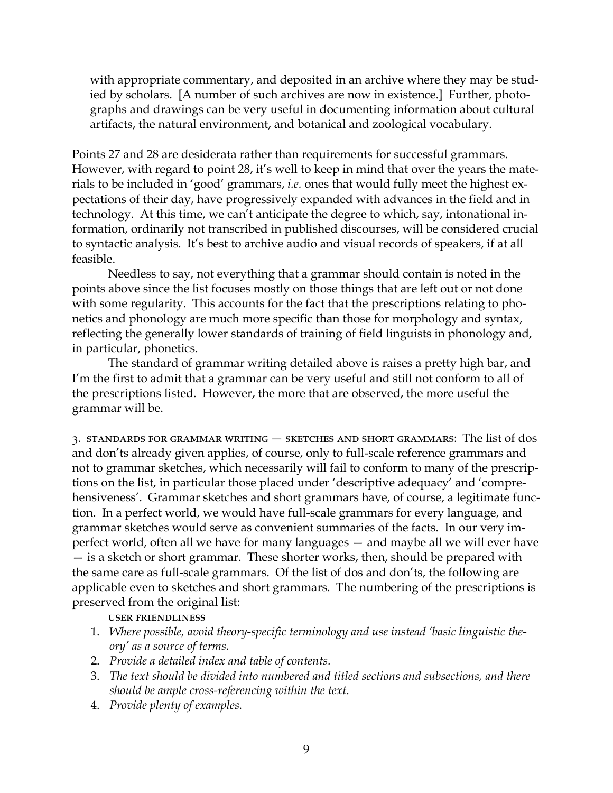with appropriate commentary, and deposited in an archive where they may be studied by scholars. [A number of such archives are now in existence.] Further, photographs and drawings can be very useful in documenting information about cultural artifacts, the natural environment, and botanical and zoological vocabulary.

Points 27 and 28 are desiderata rather than requirements for successful grammars. However, with regard to point 28, it's well to keep in mind that over the years the materials to be included in 'good' grammars, *i.e.* ones that would fully meet the highest expectations of their day, have progressively expanded with advances in the field and in technology. At this time, we can't anticipate the degree to which, say, intonational information, ordinarily not transcribed in published discourses, will be considered crucial to syntactic analysis. It's best to archive audio and visual records of speakers, if at all feasible.

Needless to say, not everything that a grammar should contain is noted in the points above since the list focuses mostly on those things that are left out or not done with some regularity. This accounts for the fact that the prescriptions relating to phonetics and phonology are much more specific than those for morphology and syntax, reflecting the generally lower standards of training of field linguists in phonology and, in particular, phonetics.

The standard of grammar writing detailed above is raises a pretty high bar, and I'm the first to admit that a grammar can be very useful and still not conform to all of the prescriptions listed. However, the more that are observed, the more useful the grammar will be.

3. standards for grammar writing — sketches and short grammars: The list of dos and don'ts already given applies, of course, only to full-scale reference grammars and not to grammar sketches, which necessarily will fail to conform to many of the prescriptions on the list, in particular those placed under 'descriptive adequacy' and 'comprehensiveness'. Grammar sketches and short grammars have, of course, a legitimate function. In a perfect world, we would have full-scale grammars for every language, and grammar sketches would serve as convenient summaries of the facts. In our very imperfect world, often all we have for many languages — and maybe all we will ever have — is a sketch or short grammar. These shorter works, then, should be prepared with the same care as full-scale grammars. Of the list of dos and don'ts, the following are applicable even to sketches and short grammars. The numbering of the prescriptions is preserved from the original list:

user friendliness

- 1. *Where possible, avoid theory-specific terminology and use instead 'basic linguistic theory' as a source of terms.*
- 2. *Provide a detailed index and table of contents.*
- 3. *The text should be divided into numbered and titled sections and subsections, and there should be ample cross-referencing within the text.*
- 4. *Provide plenty of examples.*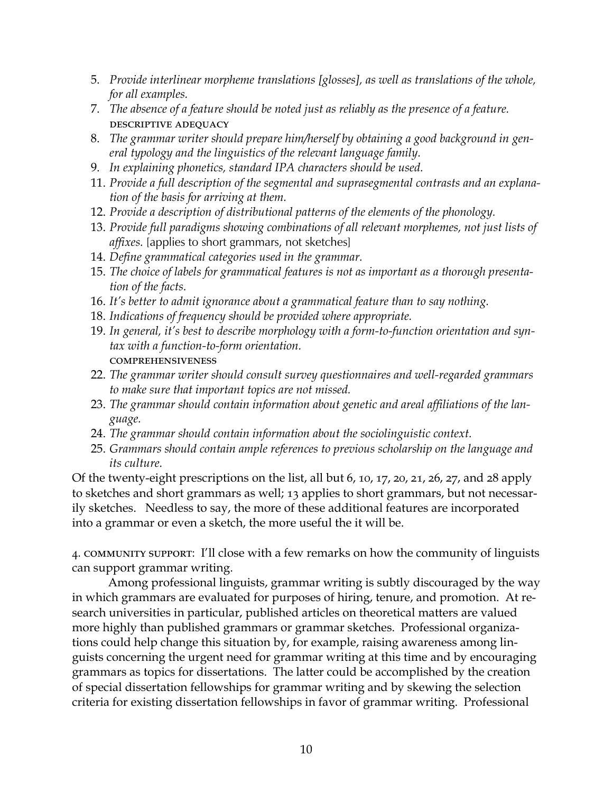- 5. *Provide interlinear morpheme translations [glosses], as well as translations of the whole, for all examples.*
- 7. *The absence of a feature should be noted just as reliably as the presence of a feature.* descriptive adequacy
- 8. *The grammar writer should prepare him/herself by obtaining a good background in general typology and the linguistics of the relevant language family.*
- 9. *In explaining phonetics, standard IPA characters should be used.*
- 11. *Provide a full description of the segmental and suprasegmental contrasts and an explanation of the basis for arriving at them.*
- 12. *Provide a description of distributional patterns of the elements of the phonology.*
- 13. *Provide full paradigms showing combinations of all relevant morphemes, not just lists of affixes.* [applies to short grammars, not sketches]
- 14. *Define grammatical categories used in the grammar.*
- 15. *The choice of labels for grammatical features is not as important as a thorough presentation of the facts.*
- 16. *It's better to admit ignorance about a grammatical feature than to say nothing.*
- 18. *Indications of frequency should be provided where appropriate.*
- 19. *In general, it's best to describe morphology with a form-to-function orientation and syntax with a function-to-form orientation.* comprehensiveness
- 22. *The grammar writer should consult survey questionnaires and well-regarded grammars to make sure that important topics are not missed.*
- 23. *The grammar should contain information about genetic and areal affiliations of the language.*
- 24. *The grammar should contain information about the sociolinguistic context.*
- 25. *Grammars should contain ample references to previous scholarship on the language and its culture.*

Of the twenty-eight prescriptions on the list, all but 6, 10, 17, 20, 21, 26, 27, and 28 apply to sketches and short grammars as well; 13 applies to short grammars, but not necessarily sketches. Needless to say, the more of these additional features are incorporated into a grammar or even a sketch, the more useful the it will be.

4. community support: I'll close with a few remarks on how the community of linguists can support grammar writing.

Among professional linguists, grammar writing is subtly discouraged by the way in which grammars are evaluated for purposes of hiring, tenure, and promotion. At research universities in particular, published articles on theoretical matters are valued more highly than published grammars or grammar sketches. Professional organizations could help change this situation by, for example, raising awareness among linguists concerning the urgent need for grammar writing at this time and by encouraging grammars as topics for dissertations. The latter could be accomplished by the creation of special dissertation fellowships for grammar writing and by skewing the selection criteria for existing dissertation fellowships in favor of grammar writing. Professional